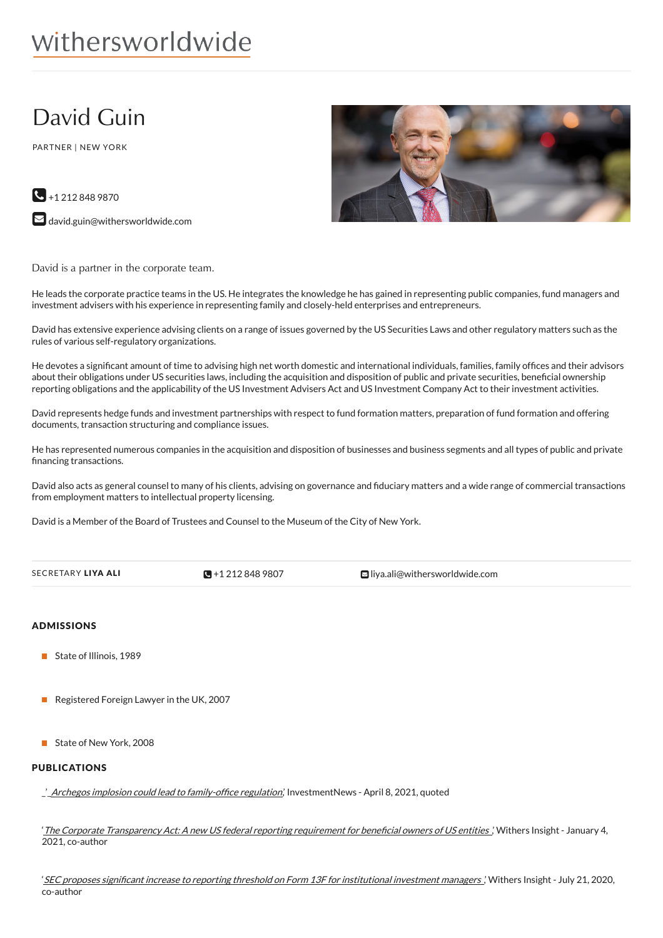# withersworldwide

## David Guin

PARTNER | NEW YORK



 $\bigodot$  +1 212 848 9870  $\blacktriangleright$  [david.guin@withersworldwide.com](mailto:david.guin@withersworldwide.com?subject=Website Enquiry - Profile Page)

David is a partner in the corporate team.

He leads the corporate practice teams in the US. He integrates the knowledge he has gained in representing public companies, fund managers and investment advisers with his experience in representing family and closely-held enterprises and entrepreneurs.

David has extensive experience advising clients on a range of issues governed by the US Securities Laws and other regulatory matters such as the rules of various self-regulatory organizations.

He devotes a significant amount of time to advising high net worth domestic and international individuals, families, family offices and their advisors about their obligations under US securities laws, including the acquisition and disposition of public and private securities, beneficial ownership reporting obligations and the applicability of the US Investment Advisers Act and US Investment Company Act to their investment activities.

David represents hedge funds and investment partnerships with respect to fund formation matters, preparation of fund formation and offering documents, transaction structuring and compliance issues.

He has represented numerous companies in the acquisition and disposition of businesses and business segments and all types of public and private financing transactions.

David also acts as general counsel to many of his clients, advising on governance and fiduciary matters and a wide range of commercial transactions from employment matters to intellectual property licensing.

David is a Member of the Board of Trustees and Counsel to the Museum of the City of New York.

| SECRETARY LIYA ALI | $\sqrt{9}$ +1 212 848 9807 | <b>E</b> liya.ali@withersworldwide.com |
|--------------------|----------------------------|----------------------------------------|
|                    |                            |                                        |

## ADMISSIONS

- State of Illinois, 1989
- Registered Foreign Lawyer in the UK, 2007
- State of New York, 2008

### PUBLICATIONS

2 Archegos implosion could lead to family-office regulation,' InvestmentNews - April 8, 2021, quoted

'The Corporate [Transparency](https://www.withersworldwide.com/en-gb/insight/Corporate-transparency-and-beneficial-owners-The-US-Bank-Secrecy-Act-expanded-to-create-new-AML-requirements) Act: A new US federal reporting requirement for beneficial owners of US entities ,' Withers Insight - January 4, 2021, co-author

'SEC proposes significant increase to reporting threshold on Form 13F for [institutional](https://www.withersworldwide.com/en-gb/insight/sec-proposes-significant-increase-to-reporting-threshold-on-form-13f-for-institutional-investment-managers) investment managers ,' Withers Insight - July 21, 2020, co-author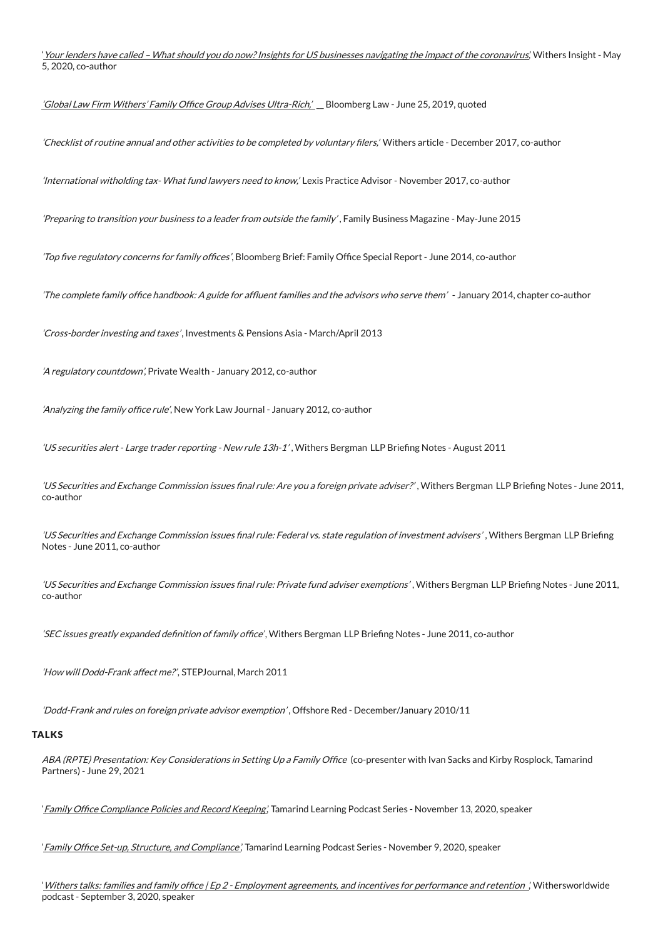'Your lenders have called – What should you do now? Insights for US businesses navigating the impact of the coronavirus', Withers Insight - May 5, 2020, co-author

'Global Law Firm Withers' Family Office Group Advises [Ultra-Rich,'](https://biglawbusiness.com/global-law-firm-withers-family-office-group-advises-ultra-rich) Bloomberg Law - June 25, 2019, quoted

'Checklist of routine annual and other activities to be completed by voluntary filers,' Withers article - December 2017, co-author

'International witholding tax- What fund lawyers need to know,' Lexis Practice Advisor - November 2017, co-author

'Preparing to transition your business to <sup>a</sup> leader from outside the family' , Family Business Magazine - May-June 2015

'Top five regulatory concerns for family offices', Bloomberg Brief: Family Office Special Report - June 2014, co-author

'The complete family office handbook: A guide for affluent families and the advisors who serve them' - January 2014, chapter co-author

'Cross-border investing and taxes', Investments & Pensions Asia - March/April 2013

'A regulatory countdown', Private Wealth - January 2012, co-author

'Analyzing the family office rule'. New York Law Journal - January 2012, co-author

'US securities alert - Large trader reporting - New rule 13h-1', Withers Bergman LLP Briefing Notes - August 2011

'US Securities and Exchange Commission issues final rule: Are you a foreign private adviser?', Withers Bergman LLP Briefing Notes - June 2011, co-author

'US Securities and Exchange Commission issues final rule: Federal vs. state regulation of investment advisers', Withers Bergman LLP Briefing Notes - June 2011, co-author

'US Securities and Exchange Commission issues final rule: Private fund adviser exemptions', Withers Bergman LLP Briefing Notes - June 2011, co-author

'SEC issues greatly expanded definition of family office', Withers Bergman LLP Briefing Notes - June 2011, co-author

'How will Dodd-Frank affect me?', STEPJournal, March 2011

'Dodd-Frank and rules on foreign private advisor exemption' , Offshore Red - December/January 2010/11

#### **TALKS**

ABA (RPTE) Presentation: Key Considerations in Setting Up a Family Office (co-presenter with Ivan Sacks and Kirby Rosplock, Tamarind Partners) - June 29, 2021

'Family Office [Compliance](https://www.tamarindlearning.com/family-office-compliance-policies-and-record-keeping-with-david-guin/) Policies and Record Keeping,' Tamarind Learning Podcast Series - November 13, 2020, speaker

' Family Office Set-up, Structure, and [Compliance](https://www.tamarindlearning.com/family-office-set-up-with-ivan-sacks-william-kambas-and-david-guin/),' Tamarind Learning Podcast Series - November 9, 2020, speaker

' Withers talks: families and family office | Ep 2 - Employment agreements, and incentives for [performance](https://www.withersworldwide.com/en-gb/insight/withers-talks-families-and-family-office-episode-2) and retention ', Withersworldwide podcast - September 3, 2020, speaker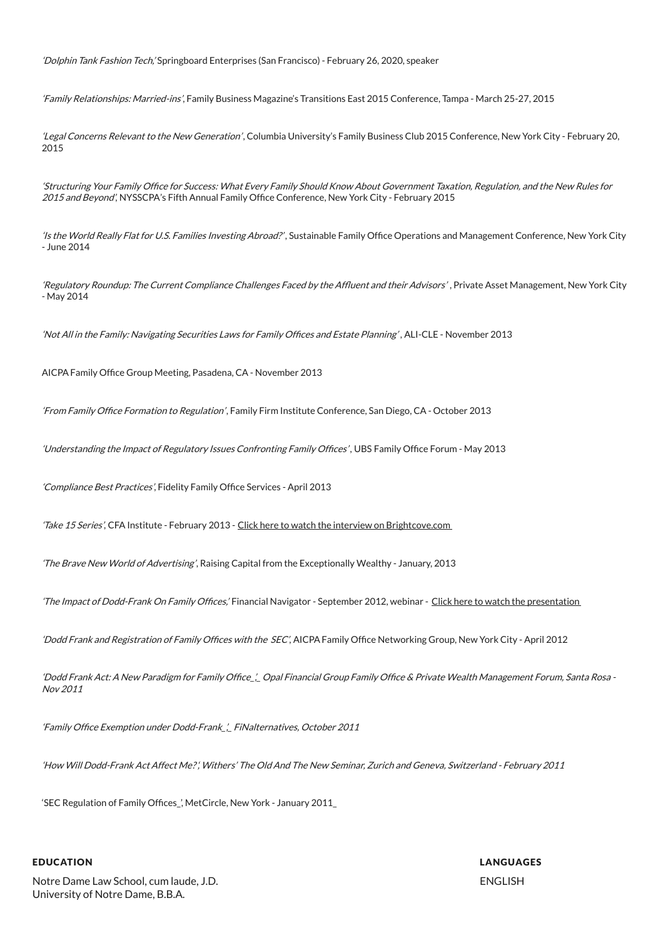'Dolphin Tank Fashion Tech,' Springboard Enterprises (San Francisco) - February 26, 2020, speaker

'Family Relationships: Married-ins', Family Business Magazine's Transitions East 2015 Conference, Tampa - March 25-27, 2015

'Legal Concerns Relevant to the New Generation', Columbia University's Family Business Club 2015 Conference, New York City - February 20, 2015

'Structuring Your Family Office for Success: What Every Family Should Know About Government Taxation, Regulation, and the New Rules for 2015 and Beyond', NYSSCPA's Fifth Annual Family Office Conference, New York City - February 2015

'Is the World Really Flat for U.S. Families Investing Abroad?', Sustainable Family Office Operations and Management Conference, New York City - June 2014

'Regulatory Roundup: The Current Compliance Challenges Faced by the Affluent and their Advisors', Private Asset Management, New York City - May 2014

'Not All in the Family: Navigating Securities Laws for Family Offices and Estate Planning', ALI-CLE - November 2013

AICPA Family Office Group Meeting, Pasadena, CA - November 2013

'From Family Office Formation to Regulation', Family Firm Institute Conference, San Diego, CA - October 2013

'Understanding the Impact of Regulatory Issues Confronting Family Offices', UBS Family Office Forum - May 2013

'Compliance Best Practices', Fidelity Family Office Services - April 2013

Take 15 Series', CFA Institute - February 2013 - Click here to watch the interview on [Brightcove.com](http://bcove.me/dhhpjflq)

'The Brave New World of Advertising', Raising Capital from the Exceptionally Wealthy - January, 2013

'The Impact of Dodd-Frank On Family Offices,' Financial Navigator - September 2012, webinar - Click here to watch the [presentation](http://www.finnav.com/usercenter/webinars-david-guin.html)

'Dodd Frank and Registration of Family Offices with the SEC', AICPA Family Office Networking Group, New York City - April 2012

'Dodd Frank Act: A New Paradigm for Family Office,' Opal Financial Group Family Office & Private Wealth Management Forum, Santa Rosa -Nov 2011

'Family Office Exemption under Dodd-Frank\_',\_ FiNalternatives, October 2011

'How Will Dodd-Frank Act Affect Me?', Withers' The Old And The New Seminar, Zurich and Geneva, Switzerland - February 2011

'SEC Regulation of Family Offices\_', MetCircle, New York - January 2011\_

#### EDUCATION

Notre Dame Law School, cum laude, J.D. University of Notre Dame, B.B.A.

LANGUAGES ENGLISH